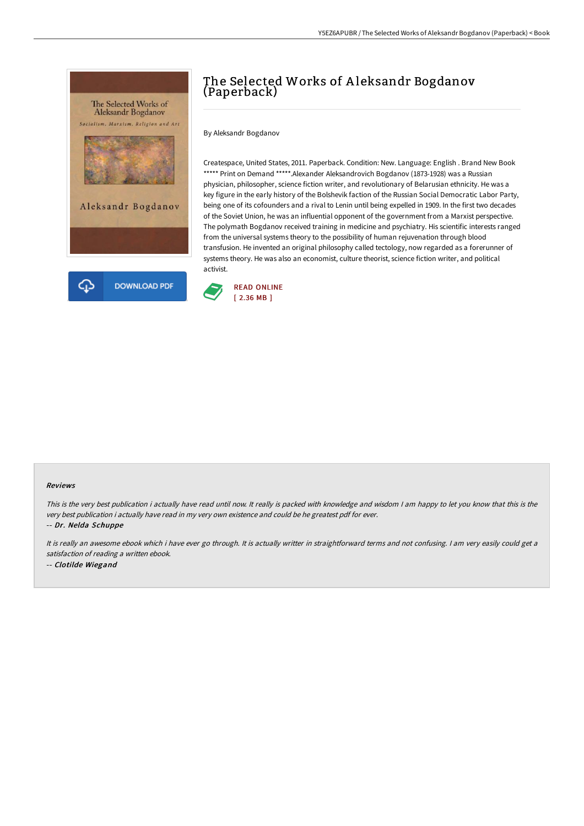

# The Selected Works of Aleksandr Bogdanov (Paperback)

By Aleksandr Bogdanov

Createspace, United States, 2011. Paperback. Condition: New. Language: English . Brand New Book \*\*\*\*\* Print on Demand \*\*\*\*\*. Alexander Aleksandrovich Bogdanov (1873-1928) was a Russian physician, philosopher, science fiction writer, and revolutionary of Belarusian ethnicity. He was a key figure in the early history of the Bolshevik faction of the Russian Social Democratic Labor Party, being one of its cofounders and a rival to Lenin until being expelled in 1909. In the first two decades of the Soviet Union, he was an influential opponent of the government from a Marxist perspective. The polymath Bogdanov received training in medicine and psychiatry. His scientific interests ranged from the universal systems theory to the possibility of human rejuvenation through blood transfusion. He invented an original philosophy called tectology, now regarded as a forerunner of systems theory. He was also an economist, culture theorist, science fiction writer, and political activist.



#### Reviews

This is the very best publication i actually have read until now. It really is packed with knowledge and wisdom I am happy to let you know that this is the very best publication i actually have read in my very own existence and could be he greatest pdf for ever.

-- Dr. Nelda Schuppe

It is really an awesome ebook which i have ever go through. It is actually writter in straightforward terms and not confusing. <sup>I</sup> am very easily could get <sup>a</sup> satisfaction of reading <sup>a</sup> written ebook. -- Clotilde Wiegand